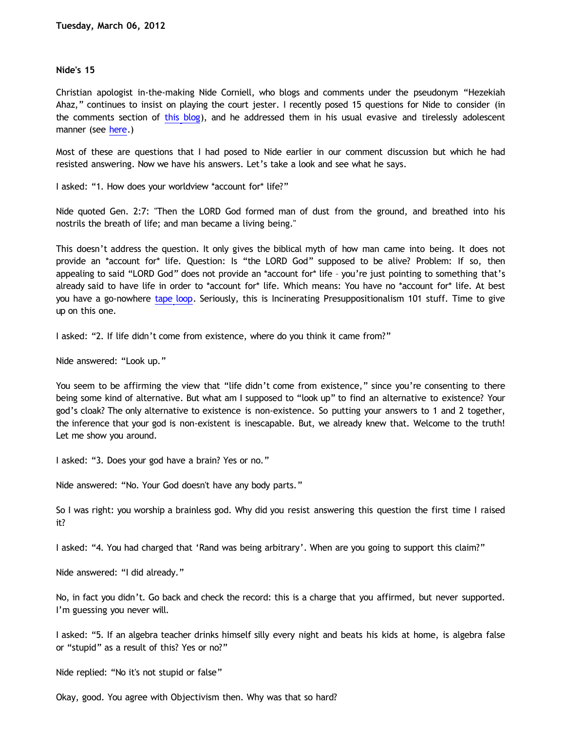## **Nide's 15**

Christian apologist in-the-making Nide Corniell, who blogs and comments under the pseudonym "Hezekiah Ahaz," continues to insist on playing the court jester. I recently posed 15 questions for Nide to consider (in the comments section of [this blog\)](http://bahnsenburner.blogspot.com/2012/02/reaction-to-my-critique-of-anderson-and.html), and he addressed them in his usual evasive and tirelessly adolescent manner (see [here](http://hezekiahahaz.blogspot.com/search/label/Dawson).)

Most of these are questions that I had posed to Nide earlier in our comment discussion but which he had resisted answering. Now we have his answers. Let's take a look and see what he says.

I asked: "1. How does your worldview \*account for\* life?"

Nide quoted Gen. 2:7: "Then the LORD God formed man of dust from the ground, and breathed into his nostrils the breath of life; and man became a living being."

This doesn't address the question. It only gives the biblical myth of how man came into being. It does not provide an \*account for\* life. Question: Is "the LORD God" supposed to be alive? Problem: If so, then appealing to said "LORD God" does not provide an \*account for\* life – you're just pointing to something that's already said to have life in order to \*account for\* life. Which means: You have no \*account for\* life. At best you have a go-nowhere [tape loop](http://bahnsenburner.blogspot.com/2005/11/tape-loop-apologetics.html). Seriously, this is Incinerating Presuppositionalism 101 stuff. Time to give up on this one.

I asked: "2. If life didn't come from existence, where do you think it came from?"

Nide answered: "Look up."

You seem to be affirming the view that "life didn't come from existence," since you're consenting to there being some kind of alternative. But what am I supposed to "look up" to find an alternative to existence? Your god's cloak? The only alternative to existence is non-existence. So putting your answers to 1 and 2 together, the inference that your god is non-existent is inescapable. But, we already knew that. Welcome to the truth! Let me show you around.

I asked: "3. Does your god have a brain? Yes or no."

Nide answered: "No. Your God doesn't have any body parts."

So I was right: you worship a brainless god. Why did you resist answering this question the first time I raised it?

I asked: "4. You had charged that 'Rand was being arbitrary'. When are you going to support this claim?"

Nide answered: "I did already."

No, in fact you didn't. Go back and check the record: this is a charge that you affirmed, but never supported. I'm guessing you never will.

I asked: "5. If an algebra teacher drinks himself silly every night and beats his kids at home, is algebra false or "stupid" as a result of this? Yes or no?"

Nide replied: "No it's not stupid or false"

Okay, good. You agree with Objectivism then. Why was that so hard?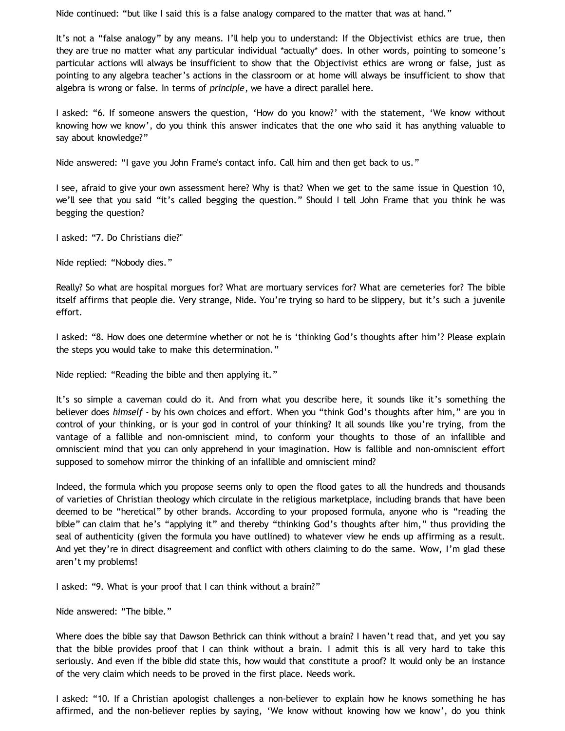Nide continued: "but like I said this is a false analogy compared to the matter that was at hand."

It's not a "false analogy" by any means. I'll help you to understand: If the Objectivist ethics are true, then they are true no matter what any particular individual \*actually\* does. In other words, pointing to someone's particular actions will always be insufficient to show that the Objectivist ethics are wrong or false, just as pointing to any algebra teacher's actions in the classroom or at home will always be insufficient to show that algebra is wrong or false. In terms of *principle*, we have a direct parallel here.

I asked: "6. If someone answers the question, 'How do you know?' with the statement, 'We know without knowing how we know', do you think this answer indicates that the one who said it has anything valuable to say about knowledge?"

Nide answered: "I gave you John Frame's contact info. Call him and then get back to us."

I see, afraid to give your own assessment here? Why is that? When we get to the same issue in Question 10, we'll see that you said "it's called begging the question." Should I tell John Frame that you think he was begging the question?

I asked: "7. Do Christians die?"

Nide replied: "Nobody dies."

Really? So what are hospital morgues for? What are mortuary services for? What are cemeteries for? The bible itself affirms that people die. Very strange, Nide. You're trying so hard to be slippery, but it's such a juvenile effort.

I asked: "8. How does one determine whether or not he is 'thinking God's thoughts after him'? Please explain the steps you would take to make this determination."

Nide replied: "Reading the bible and then applying it."

It's so simple a caveman could do it. And from what you describe here, it sounds like it's something the believer does *himself* - by his own choices and effort. When you "think God's thoughts after him," are you in control of your thinking, or is your god in control of your thinking? It all sounds like you're trying, from the vantage of a fallible and non-omniscient mind, to conform your thoughts to those of an infallible and omniscient mind that you can only apprehend in your imagination. How is fallible and non-omniscient effort supposed to somehow mirror the thinking of an infallible and omniscient mind?

Indeed, the formula which you propose seems only to open the flood gates to all the hundreds and thousands of varieties of Christian theology which circulate in the religious marketplace, including brands that have been deemed to be "heretical" by other brands. According to your proposed formula, anyone who is "reading the bible" can claim that he's "applying it" and thereby "thinking God's thoughts after him," thus providing the seal of authenticity (given the formula you have outlined) to whatever view he ends up affirming as a result. And yet they're in direct disagreement and conflict with others claiming to do the same. Wow, I'm glad these aren't my problems!

I asked: "9. What is your proof that I can think without a brain?"

Nide answered: "The bible."

Where does the bible say that Dawson Bethrick can think without a brain? I haven't read that, and yet you say that the bible provides proof that I can think without a brain. I admit this is all very hard to take this seriously. And even if the bible did state this, how would that constitute a proof? It would only be an instance of the very claim which needs to be proved in the first place. Needs work.

I asked: "10. If a Christian apologist challenges a non-believer to explain how he knows something he has affirmed, and the non-believer replies by saying, 'We know without knowing how we know', do you think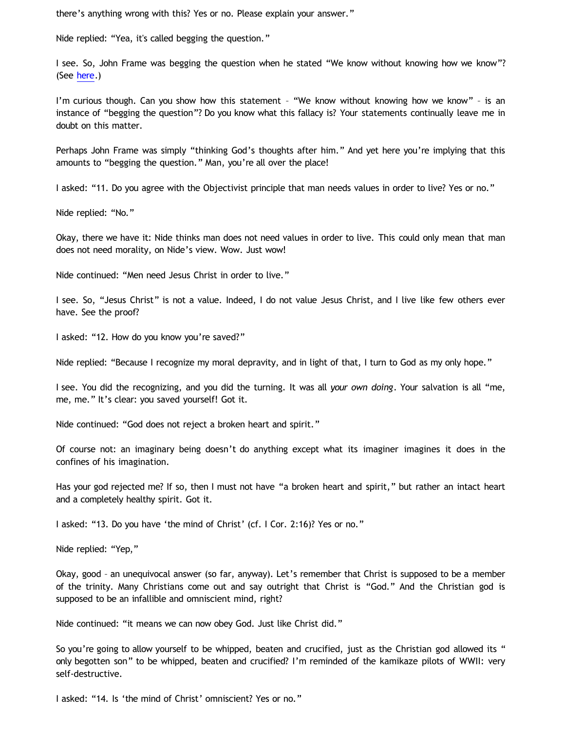there's anything wrong with this? Yes or no. Please explain your answer."

Nide replied: "Yea, it's called begging the question."

I see. So, John Frame was begging the question when he stated "We know without knowing how we know"? (See [here.](http://www.thirdmill.org/files/english/html/pt/PT.h.Frame.Presupp.Apol.1.html))

I'm curious though. Can you show how this statement - "We know without knowing how we know" - is an instance of "begging the question"? Do you know what this fallacy is? Your statements continually leave me in doubt on this matter.

Perhaps John Frame was simply "thinking God's thoughts after him." And yet here you're implying that this amounts to "begging the question." Man, you're all over the place!

I asked: "11. Do you agree with the Objectivist principle that man needs values in order to live? Yes or no."

Nide replied: "No."

Okay, there we have it: Nide thinks man does not need values in order to live. This could only mean that man does not need morality, on Nide's view. Wow. Just wow!

Nide continued: "Men need Jesus Christ in order to live."

I see. So, "Jesus Christ" is not a value. Indeed, I do not value Jesus Christ, and I live like few others ever have. See the proof?

I asked: "12. How do you know you're saved?"

Nide replied: "Because I recognize my moral depravity, and in light of that, I turn to God as my only hope."

I see. You did the recognizing, and you did the turning. It was all *your own doing*. Your salvation is all "me, me, me." It's clear: you saved yourself! Got it.

Nide continued: "God does not reject a broken heart and spirit."

Of course not: an imaginary being doesn't do anything except what its imaginer imagines it does in the confines of his imagination.

Has your god rejected me? If so, then I must not have "a broken heart and spirit," but rather an intact heart and a completely healthy spirit. Got it.

I asked: "13. Do you have 'the mind of Christ' (cf. I Cor. 2:16)? Yes or no."

Nide replied: "Yep,"

Okay, good – an unequivocal answer (so far, anyway). Let's remember that Christ is supposed to be a member of the trinity. Many Christians come out and say outright that Christ is "God." And the Christian god is supposed to be an infallible and omniscient mind, right?

Nide continued: "it means we can now obey God. Just like Christ did."

So you're going to allow yourself to be whipped, beaten and crucified, just as the Christian god allowed its " only begotten son" to be whipped, beaten and crucified? I'm reminded of the kamikaze pilots of WWII: very self-destructive.

I asked: "14. Is 'the mind of Christ' omniscient? Yes or no."